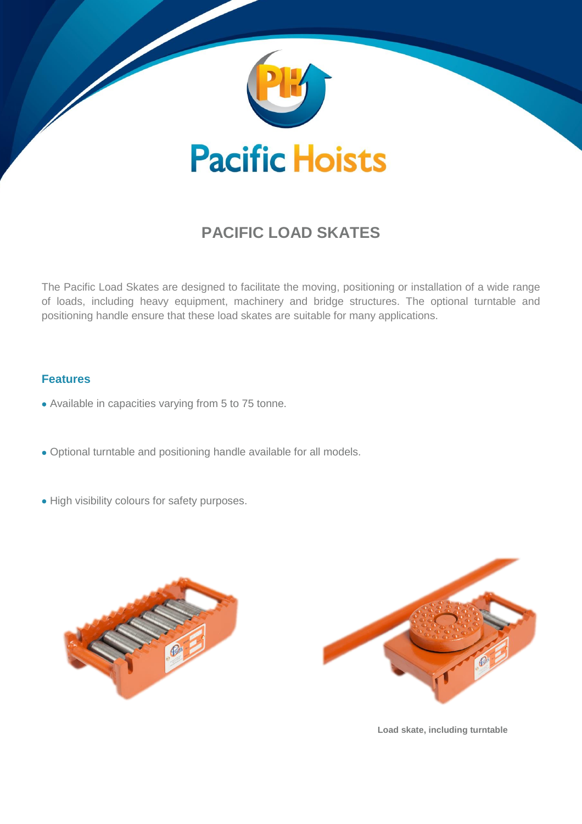

# **PACIFIC LOAD SKATES**

The Pacific Load Skates are designed to facilitate the moving, positioning or installation of a wide range of loads, including heavy equipment, machinery and bridge structures. The optional turntable and positioning handle ensure that these load skates are suitable for many applications.

## **Features**

- Available in capacities varying from 5 to 75 tonne.
- Optional turntable and positioning handle available for all models.
- High visibility colours for safety purposes.





**Load skate, including turntable**